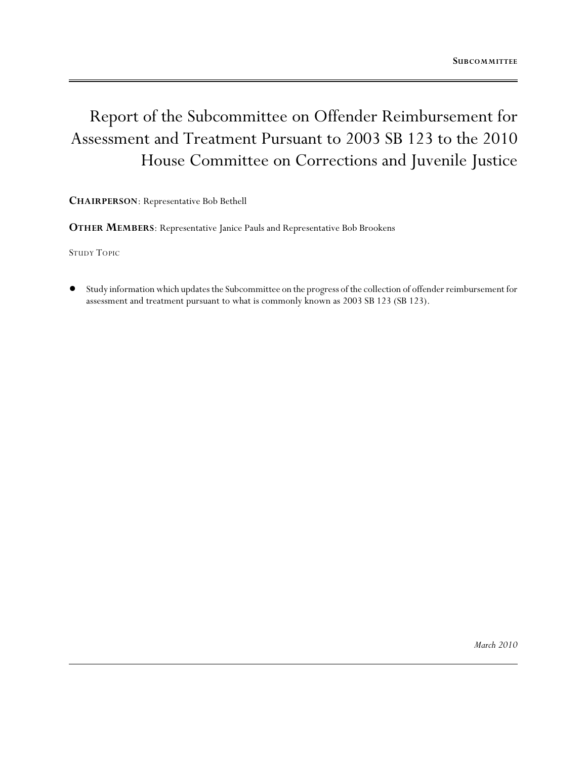# Report of the Subcommittee on Offender Reimbursement for Assessment and Treatment Pursuant to 2003 SB 123 to the 2010 House Committee on Corrections and Juvenile Justice

**CHAIRPERSON**: Representative Bob Bethell

**OTHER MEMBERS**: Representative Janice Pauls and Representative Bob Brookens

STUDY TOPIC

! Study information which updates the Subcommittee on the progress of the collection of offender reimbursement for assessment and treatment pursuant to what is commonly known as 2003 SB 123 (SB 123).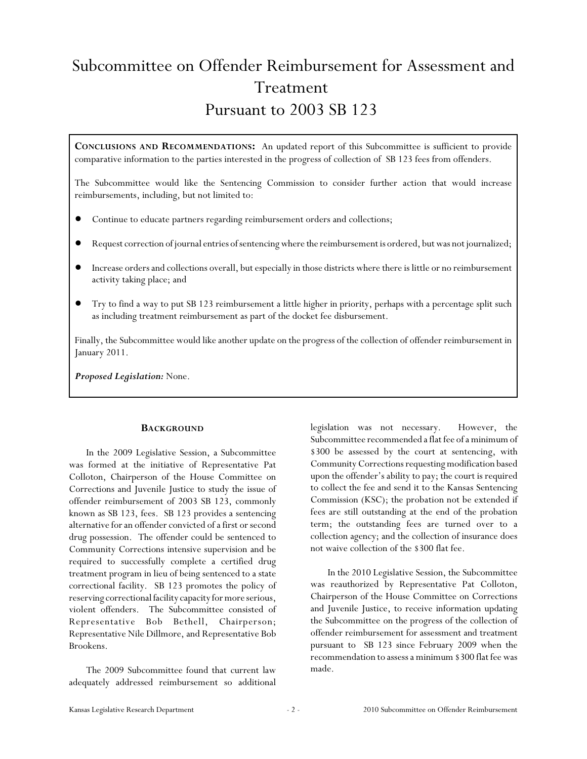# Subcommittee on Offender Reimbursement for Assessment and Treatment Pursuant to 2003 SB 123

**CONCLUSIONS AND RECOMMENDATIONS:** An updated report of this Subcommittee is sufficient to provide comparative information to the parties interested in the progress of collection of SB 123 fees from offenders.

The Subcommittee would like the Sentencing Commission to consider further action that would increase reimbursements, including, but not limited to:

- Continue to educate partners regarding reimbursement orders and collections;
- ! Request correction of journal entries of sentencing where the reimbursement is ordered, but was not journalized;
- ! Increase orders and collections overall, but especially in those districts where there is little or no reimbursement activity taking place; and
- ! Try to find a way to put SB 123 reimbursement a little higher in priority, perhaps with a percentage split such as including treatment reimbursement as part of the docket fee disbursement.

Finally, the Subcommittee would like another update on the progress of the collection of offender reimbursement in January 2011.

*Proposed Legislation:* None.

### **BACKGROUND**

In the 2009 Legislative Session, a Subcommittee was formed at the initiative of Representative Pat Colloton, Chairperson of the House Committee on Corrections and Juvenile Justice to study the issue of offender reimbursement of 2003 SB 123, commonly known as SB 123, fees. SB 123 provides a sentencing alternative for an offender convicted of a first or second drug possession. The offender could be sentenced to Community Corrections intensive supervision and be required to successfully complete a certified drug treatment program in lieu of being sentenced to a state correctional facility. SB 123 promotes the policy of reserving correctional facility capacity for more serious, violent offenders. The Subcommittee consisted of Representative Bob Bethell, Chairperson; Representative Nile Dillmore, and Representative Bob Brookens.

The 2009 Subcommittee found that current law adequately addressed reimbursement so additional legislation was not necessary. However, the Subcommittee recommended a flat fee of a minimum of \$300 be assessed by the court at sentencing, with Community Corrections requesting modification based upon the offender's ability to pay; the court is required to collect the fee and send it to the Kansas Sentencing Commission (KSC); the probation not be extended if fees are still outstanding at the end of the probation term; the outstanding fees are turned over to a collection agency; and the collection of insurance does not waive collection of the \$300 flat fee.

In the 2010 Legislative Session, the Subcommittee was reauthorized by Representative Pat Colloton, Chairperson of the House Committee on Corrections and Juvenile Justice, to receive information updating the Subcommittee on the progress of the collection of offender reimbursement for assessment and treatment pursuant to SB 123 since February 2009 when the recommendation to assessa minimum \$300 flat fee was made.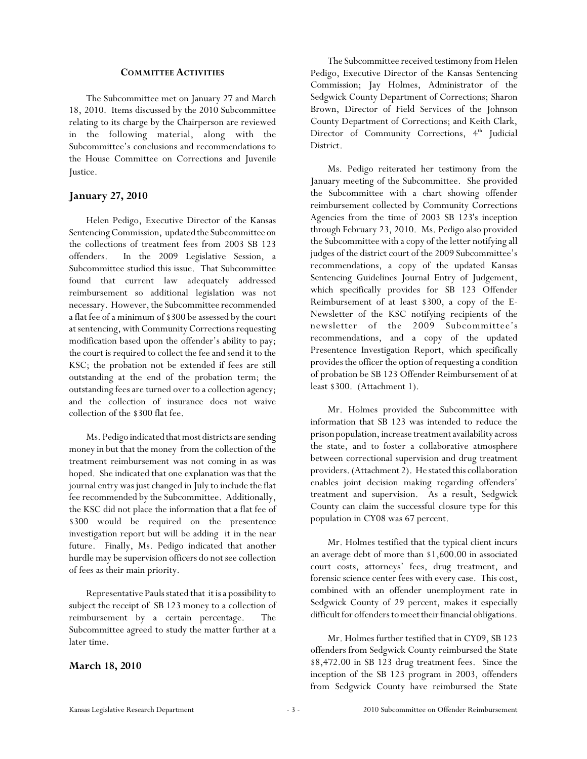#### **COMMITTEE ACTIVITIES**

The Subcommittee met on January 27 and March 18, 2010. Items discussed by the 2010 Subcommittee relating to its charge by the Chairperson are reviewed in the following material, along with the Subcommittee's conclusions and recommendations to the House Committee on Corrections and Juvenile Justice.

## **January 27, 2010**

Helen Pedigo, Executive Director of the Kansas Sentencing Commission, updated the Subcommittee on the collections of treatment fees from 2003 SB 123 offenders. In the 2009 Legislative Session, a Subcommittee studied this issue. That Subcommittee found that current law adequately addressed reimbursement so additional legislation was not necessary. However, the Subcommittee recommended a flat fee of a minimum of \$300 be assessed by the court at sentencing, with Community Corrections requesting modification based upon the offender's ability to pay; the court is required to collect the fee and send it to the KSC; the probation not be extended if fees are still outstanding at the end of the probation term; the outstanding fees are turned over to a collection agency; and the collection of insurance does not waive collection of the \$300 flat fee.

Ms. Pedigo indicated that most districts are sending money in but that the money from the collection of the treatment reimbursement was not coming in as was hoped. She indicated that one explanation was that the journal entry was just changed in July to include the flat fee recommended by the Subcommittee. Additionally, the KSC did not place the information that a flat fee of \$300 would be required on the presentence investigation report but will be adding it in the near future. Finally, Ms. Pedigo indicated that another hurdle may be supervision officers do not see collection of fees as their main priority.

Representative Pauls stated that it is a possibility to subject the receipt of SB 123 money to a collection of reimbursement by a certain percentage. The Subcommittee agreed to study the matter further at a later time.

### **March 18, 2010**

The Subcommittee received testimony from Helen Pedigo, Executive Director of the Kansas Sentencing Commission; Jay Holmes, Administrator of the Sedgwick County Department of Corrections; Sharon Brown, Director of Field Services of the Johnson County Department of Corrections; and Keith Clark, Director of Community Corrections, 4<sup>th</sup> Judicial District.

Ms. Pedigo reiterated her testimony from the January meeting of the Subcommittee. She provided the Subcommittee with a chart showing offender reimbursement collected by Community Corrections Agencies from the time of 2003 SB 123's inception through February 23, 2010. Ms. Pedigo also provided the Subcommittee with a copy of the letter notifying all judges of the district court of the 2009 Subcommittee's recommendations, a copy of the updated Kansas Sentencing Guidelines Journal Entry of Judgement, which specifically provides for SB 123 Offender Reimbursement of at least \$300, a copy of the E-Newsletter of the KSC notifying recipients of the newsletter of the 2009 Subcommittee's recommendations, and a copy of the updated Presentence Investigation Report, which specifically provides the officer the option of requesting a condition of probation be SB 123 Offender Reimbursement of at least \$300. (Attachment 1).

Mr. Holmes provided the Subcommittee with information that SB 123 was intended to reduce the prison population, increase treatment availability across the state, and to foster a collaborative atmosphere between correctional supervision and drug treatment providers. (Attachment 2). He stated this collaboration enables joint decision making regarding offenders' treatment and supervision. As a result, Sedgwick County can claim the successful closure type for this population in CY08 was 67 percent.

Mr. Holmes testified that the typical client incurs an average debt of more than \$1,600.00 in associated court costs, attorneys' fees, drug treatment, and forensic science center fees with every case. This cost, combined with an offender unemployment rate in Sedgwick County of 29 percent, makes it especially difficult for offenders to meet their financial obligations.

Mr. Holmes further testified that in CY09, SB 123 offenders from Sedgwick County reimbursed the State \$8,472.00 in SB 123 drug treatment fees. Since the inception of the SB 123 program in 2003, offenders from Sedgwick County have reimbursed the State